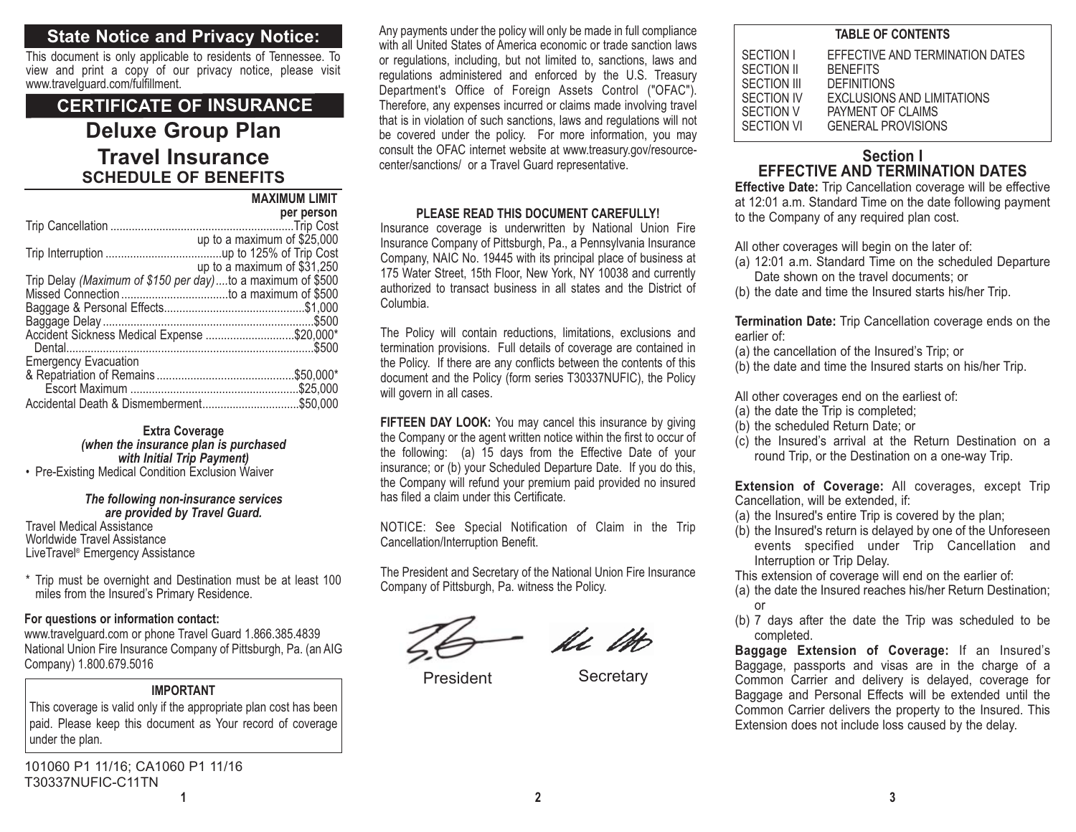# **State Notice and Privacy Notice:**

This document is only applicable to residents of Tennessee. To view and print a copy of our privacy notice, please visit www.travelguard.com/fulfillment.

# **Deluxe Group Plan Travel InsuranceSCHEDULE OF BENEFITSMAXIMUM LIMITCERTIFICATE OF INSURANCE**

|                                                            | <b>IVIMAIIVIUIVI LIIVILI</b> |
|------------------------------------------------------------|------------------------------|
|                                                            | per person                   |
|                                                            |                              |
|                                                            | up to a maximum of \$25,000  |
|                                                            |                              |
|                                                            | up to a maximum of \$31,250  |
| Trip Delay (Maximum of \$150 per day)to a maximum of \$500 |                              |
|                                                            |                              |
|                                                            |                              |
|                                                            |                              |
| Accident Sickness Medical Expense \$20,000*                |                              |
|                                                            |                              |
| <b>Emergency Evacuation</b>                                |                              |
|                                                            |                              |
|                                                            |                              |
|                                                            |                              |
|                                                            |                              |

**Extra Coverage** *(when the insurance plan is purchased with Initial Trip Payment)*

• Pre-Existing Medical Condition Exclusion Waiver

#### *The following non-insurance services are provided by Travel Guard.*

Travel Medical AssistanceWorldwide Travel Assistance LiveTravel® Emergency Assistance

\* Trip must be overnight and Destination must be at least 100 miles from the Insured's Primary Residence.

## **For questions or information contact:**

www.travelguard.com or phone Travel Guard 1.866.385.4839 National Union Fire Insurance Company of Pittsburgh, Pa. (an AIG Company) 1.800.679.5016

## **IMPORTANT**

This coverage is valid only if the appropriate plan cost has been paid. Please keep this document as Your record of coverage under the plan.

**1**101060 P1 11/16; CA1060 P1 11/16 T30337NUFIC-C11TN

Any payments under the policy will only be made in full compliance with all United States of America economic or trade sanction lawsor regulations, including, but not limited to, sanctions, laws and regulations administered and enforced by the U.S. Treasury Department's Office of Foreign Assets Control ("OFAC"). Therefore, any expenses incurred or claims made involving travel that is in violation of such sanctions, laws and regulations will not be covered under the policy. For more information, you may consult the OFAC internet website at www.treasury.gov/resourcecenter/sanctions/ or a Travel Guard representative.

## **PLEASE READ THIS DOCUMENT CAREFULLY!**

Insurance coverage is underwritten by National Union Fire Insurance Company of Pittsburgh, Pa., a Pennsylvania Insurance Company, NAIC No. 19445 with its principal place of business at 175 Water Street, 15th Floor, New York, NY 10038 and currently authorized to transact business in all states and the District ofColumbia.

The Policy will contain reductions, limitations, exclusions and termination provisions. Full details of coverage are contained in the Policy. If there are any conflicts between the contents of this document and the Policy (form series T30337NUFIC), the Policy will govern in all cases.

**FIFTEEN DAY LOOK:** You may cancel this insurance by giving the Company or the agent written notice within the first to occur of the following: (a) 15 days from the Effective Date of your insurance; or (b) your Scheduled Departure Date. If you do this, the Company will refund your premium paid provided no insured has filed a claim under this Certificate.

NOTICE: See Special Notification of Claim in the Trip Cancellation/Interruption Benefit.

The President and Secretary of the National Union Fire Insurance Company of Pittsburgh, Pa. witness the Policy.

Ac 1H

President Secretary

| <b>TABLE OF CONTENTS</b>                                                        |                                                                                                                                                                 |  |
|---------------------------------------------------------------------------------|-----------------------------------------------------------------------------------------------------------------------------------------------------------------|--|
| SECTION I<br>SECTION II<br>SECTION III<br>SECTION IV<br>SECTION V<br>SECTION VI | EFFECTIVE AND TERMINATION DATES<br><b>BENEFITS</b><br><b>DEFINITIONS</b><br><b>EXCLUSIONS AND LIMITATIONS</b><br>PAYMENT OF CLAIMS<br><b>GENERAL PROVISIONS</b> |  |
|                                                                                 |                                                                                                                                                                 |  |

## **Section IEFFECTIVE AND TERMINATION DATES**

**Effective Date:** Trip Cancellation coverage will be effective at 12:01 a.m. Standard Time on the date following payment to the Company of any required plan cost.

All other coverages will begin on the later of:

- (a) 12:01 a.m. Standard Time on the scheduled Departure Date shown on the travel documents; or
- (b) the date and time the Insured starts his/her Trip.

**Termination Date:** Trip Cancellation coverage ends on the earlier of:

- (a) the cancellation of the Insured's Trip; or
- (b) the date and time the Insured starts on his/her Trip.

All other coverages end on the earliest of:

- (a) the date the Trip is completed;
- (b) the scheduled Return Date; or
- (c) the Insured's arrival at the Return Destination on a round Trip, or the Destination on a one-way Trip.

**Extension of Coverage:** All coverages, except Trip Cancellation, will be extended, if:

- (a) the Insured's entire Trip is covered by the plan;
- (b) the Insured's return is delayed by one of the Unforeseen events specified under Trip Cancellation and Interruption or Trip Delay.

This extension of coverage will end on the earlier of:

- (a) the date the Insured reaches his/her Return Destination; or
- (b) 7 days after the date the Trip was scheduled to be completed.

**Baggage Extension of Coverage:** If an Insured's Baggage, passports and visas are in the charge of a Common Carrier and delivery is delayed, coverage for Baggage and Personal Effects will be extended until the Common Carrier delivers the property to the Insured. This Extension does not include loss caused by the delay.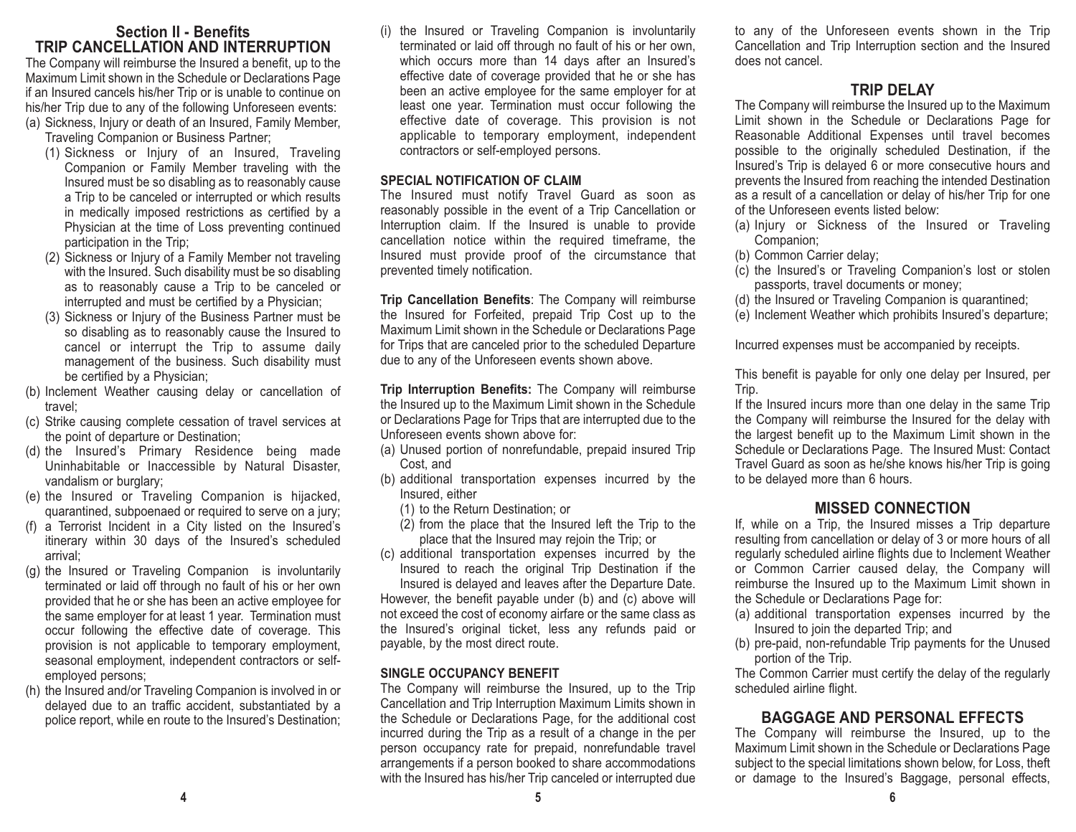## **Section II - BenefitsTRIP CANCELLATION AND INTERRUPTION**

The Company will reimburse the Insured a benefit, up to the Maximum Limit shown in the Schedule or Declarations Page if an Insured cancels his/her Trip or is unable to continue on his/her Trip due to any of the following Unforeseen events: (a) Sickness, Injury or death of an Insured, Family Member,

- Traveling Companion or Business Partner;
	- (1) Sickness or Injury of an Insured, Traveling Companion or Family Member traveling with the Insured must be so disabling as to reasonably cause a Trip to be canceled or interrupted or which results in medically imposed restrictions as certified by a Physician at the time of Loss preventing continued participation in the Trip;
	- (2) Sickness or Injury of a Family Member not traveling with the Insured. Such disability must be so disabling as to reasonably cause a Trip to be canceled or interrupted and must be certified by a Physician;
	- (3) Sickness or Injury of the Business Partner must be so disabling as to reasonably cause the Insured to cancel or interrupt the Trip to assume daily management of the business. Such disability must be certified by a Physician;
- (b) Inclement Weather causing delay or cancellation of travel;
- (c) Strike causing complete cessation of travel services at the point of departure or Destination;
- (d) the Insured's Primary Residence being made Uninhabitable or Inaccessible by Natural Disaster, vandalism or burglary;
- (e) the Insured or Traveling Companion is hijacked, quarantined, subpoenaed or required to serve on a jury;
- (f) a Terrorist Incident in a City listed on the Insured's itinerary within 30 days of the Insured's scheduled arrival;
- (g) the Insured or Traveling Companion is involuntarily terminated or laid off through no fault of his or her own provided that he or she has been an active employee for the same employer for at least 1 year. Termination must occur following the effective date of coverage. This provision is not applicable to temporary employment, seasonal employment, independent contractors or selfemployed persons;
- (h) the Insured and/or Traveling Companion is involved in or delayed due to an traffic accident, substantiated by a police report, while en route to the Insured's Destination;

(i) the Insured or Traveling Companion is involuntarily terminated or laid off through no fault of his or her own, which occurs more than 14 days after an Insured's effective date of coverage provided that he or she has been an active employee for the same employer for at least one year. Termination must occur following the effective date of coverage. This provision is not applicable to temporary employment, independent contractors or self-employed persons.

#### **SPECIAL NOTIFICATION OF CLAIM**

The Insured must notify Travel Guard as soon as reasonably possible in the event of a Trip Cancellation or Interruption claim. If the Insured is unable to provide cancellation notice within the required timeframe, the Insured must provide proof of the circumstance that prevented timely notification.

**Trip Cancellation Benefits**: The Company will reimburse the Insured for Forfeited, prepaid Trip Cost up to the Maximum Limit shown in the Schedule or Declarations Page for Trips that are canceled prior to the scheduled Departure due to any of the Unforeseen events shown above.

**Trip Interruption Benefits:** The Company will reimburse the Insured up to the Maximum Limit shown in the Schedule or Declarations Page for Trips that are interrupted due to the Unforeseen events shown above for:

- (a) Unused portion of nonrefundable, prepaid insured Trip Cost, and
- (b) additional transportation expenses incurred by the Insured, either
	- (1) to the Return Destination; or
	- (2) from the place that the Insured left the Trip to the place that the Insured may rejoin the Trip; or
- (c) additional transportation expenses incurred by the Insured to reach the original Trip Destination if the

Insured is delayed and leaves after the Departure Date. However, the benefit payable under (b) and (c) above will not exceed the cost of economy airfare or the same class as the Insured's original ticket, less any refunds paid or payable, by the most direct route.

## **SINGLE OCCUPANCY BENEFIT**

The Company will reimburse the Insured, up to the Trip Cancellation and Trip Interruption Maximum Limits shown in the Schedule or Declarations Page, for the additional cost incurred during the Trip as a result of a change in the per person occupancy rate for prepaid, nonrefundable travel arrangements if a person booked to share accommodations with the Insured has his/her Trip canceled or interrupted due to any of the Unforeseen events shown in the Trip Cancellation and Trip Interruption section and the Insured does not cancel.

# **TRIP DELAY**

The Company will reimburse the Insured up to the Maximum Limit shown in the Schedule or Declarations Page for Reasonable Additional Expenses until travel becomes possible to the originally scheduled Destination, if the Insured's Trip is delayed 6 or more consecutive hours and prevents the Insured from reaching the intended Destination as a result of a cancellation or delay of his/her Trip for one of the Unforeseen events listed below:

- (a) Injury or Sickness of the Insured or Traveling Companion;
- (b) Common Carrier delay;
- (c) the Insured's or Traveling Companion's lost or stolen passports, travel documents or money;
- (d) the Insured or Traveling Companion is quarantined;
- (e) Inclement Weather which prohibits Insured's departure;

Incurred expenses must be accompanied by receipts.

This benefit is payable for only one delay per Insured, per Trip.

If the Insured incurs more than one delay in the same Trip the Company will reimburse the Insured for the delay with the largest benefit up to the Maximum Limit shown in the Schedule or Declarations Page. The Insured Must: Contact Travel Guard as soon as he/she knows his/her Trip is going to be delayed more than 6 hours.

# **MISSED CONNECTION**

If, while on a Trip, the Insured misses a Trip departure resulting from cancellation or delay of 3 or more hours of all regularly scheduled airline flights due to Inclement Weather or Common Carrier caused delay, the Company will reimburse the Insured up to the Maximum Limit shown in the Schedule or Declarations Page for:

- (a) additional transportation expenses incurred by the Insured to join the departed Trip; and
- (b) pre-paid, non-refundable Trip payments for the Unused portion of the Trip.

The Common Carrier must certify the delay of the regularly scheduled airline flight.

# **BAGGAGE AND PERSONAL EFFECTS**

The Company will reimburse the Insured, up to the Maximum Limit shown in the Schedule or Declarations Page subject to the special limitations shown below, for Loss, theft or damage to the Insured's Baggage, personal effects,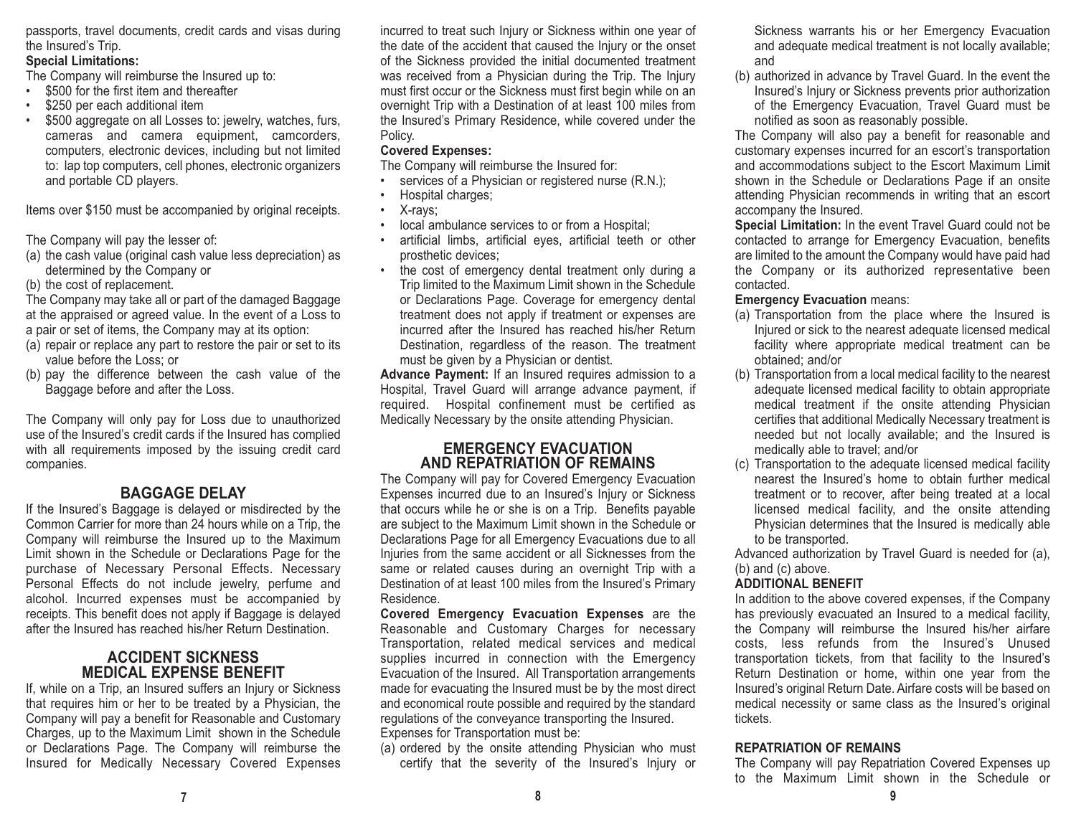passports, travel documents, credit cards and visas during the Insured's Trip.

#### **Special Limitations:**

The Company will reimburse the Insured up to:

- •\$500 for the first item and thereafter
- \$250 per each additional item
- \$500 aggregate on all Losses to: jewelry, watches, furs, cameras and camera equipment, camcorders, computers, electronic devices, including but not limited to: lap top computers, cell phones, electronic organizers and portable CD players.

Items over \$150 must be accompanied by original receipts.

The Company will pay the lesser of:

(a) the cash value (original cash value less depreciation) as determined by the Company or

(b) the cost of replacement.

The Company may take all or part of the damaged Baggage at the appraised or agreed value. In the event of a Loss to a pair or set of items, the Company may at its option:

- (a) repair or replace any part to restore the pair or set to its value before the Loss; or
- (b) pay the difference between the cash value of the Baggage before and after the Loss.

The Company will only pay for Loss due to unauthorized use of the Insured's credit cards if the Insured has complied with all requirements imposed by the issuing credit card companies.

# **BAGGAGE DELAY**

If the Insured's Baggage is delayed or misdirected by the Common Carrier for more than 24 hours while on a Trip, the Company will reimburse the Insured up to the Maximum Limit shown in the Schedule or Declarations Page for the purchase of Necessary Personal Effects. Necessary Personal Effects do not include jewelry, perfume and alcohol. Incurred expenses must be accompanied by receipts. This benefit does not apply if Baggage is delayed after the Insured has reached his/her Return Destination.

# **ACCIDENT SICKNESSMEDICAL EXPENSE BENEFIT**

If, while on a Trip, an Insured suffers an Injury or Sickness that requires him or her to be treated by a Physician, the Company will pay a benefit for Reasonable and Customary Charges, up to the Maximum Limit shown in the Schedule or Declarations Page. The Company will reimburse the Insured for Medically Necessary Covered Expenses incurred to treat such Injury or Sickness within one year of the date of the accident that caused the Injury or the onset of the Sickness provided the initial documented treatment was received from a Physician during the Trip. The Injury must first occur or the Sickness must first begin while on an overnight Trip with a Destination of at least 100 miles from the Insured's Primary Residence, while covered under the Policy.

## **Covered Expenses:**

The Company will reimburse the Insured for:

- •services of a Physician or registered nurse (R.N.);
- •Hospital charges;
- •X-rays;
- •local ambulance services to or from a Hospital;
- artificial limbs, artificial eyes, artificial teeth or other prosthetic devices;
- the cost of emergency dental treatment only during a Trip limited to the Maximum Limit shown in the Schedule or Declarations Page. Coverage for emergency dental treatment does not apply if treatment or expenses are incurred after the Insured has reached his/her ReturnDestination, regardless of the reason. The treatment must be given by a Physician or dentist.

**Advance Payment:** If an Insured requires admission to a Hospital, Travel Guard will arrange advance payment, if required. Hospital confinement must be certified as Medically Necessary by the onsite attending Physician.

## **EMERGENCY EVACUATIONAND REPATRIATION OF REMAINS**

The Company will pay for Covered Emergency Evacuation Expenses incurred due to an Insured's Injury or Sickness that occurs while he or she is on a Trip. Benefits payable are subject to the Maximum Limit shown in the Schedule or Declarations Page for all Emergency Evacuations due to all Injuries from the same accident or all Sicknesses from the same or related causes during an overnight Trip with a Destination of at least 100 miles from the Insured's Primary Residence.

**Covered Emergency Evacuation Expenses** are the Reasonable and Customary Charges for necessary Transportation, related medical services and medical supplies incurred in connection with the Emergency Evacuation of the Insured. All Transportation arrangements made for evacuating the Insured must be by the most direct and economical route possible and required by the standard regulations of the conveyance transporting the Insured. Expenses for Transportation must be:

(a) ordered by the onsite attending Physician who must certify that the severity of the Insured's Injury or Sickness warrants his or her Emergency Evacuation and adequate medical treatment is not locally available; and

(b) authorized in advance by Travel Guard. In the event the Insured's Injury or Sickness prevents prior authorization of the Emergency Evacuation, Travel Guard must be notified as soon as reasonably possible.

The Company will also pay a benefit for reasonable and customary expenses incurred for an escort's transportation and accommodations subject to the Escort Maximum Limit shown in the Schedule or Declarations Page if an onsite attending Physician recommends in writing that an escort accompany the Insured.

**Special Limitation:** In the event Travel Guard could not be contacted to arrange for Emergency Evacuation, benefits are limited to the amount the Company would have paid had the Company or its authorized representative been contacted.

## **Emergency Evacuation** means:

- (a) Transportation from the place where the Insured is Injured or sick to the nearest adequate licensed medical facility where appropriate medical treatment can be obtained; and/or
- (b) Transportation from a local medical facility to the nearest adequate licensed medical facility to obtain appropriate medical treatment if the onsite attending Physician certifies that additional Medically Necessary treatment is needed but not locally available; and the Insured is medically able to travel; and/or
- (c) Transportation to the adequate licensed medical facility nearest the Insured's home to obtain further medical treatment or to recover, after being treated at a local licensed medical facility, and the onsite attending Physician determines that the Insured is medically able to be transported.

Advanced authorization by Travel Guard is needed for (a), (b) and (c) above.

# **ADDITIONAL BENEFIT**

In addition to the above covered expenses, if the Company has previously evacuated an Insured to a medical facility, the Company will reimburse the Insured his/her airfare costs, less refunds from the Insured's Unused transportation tickets, from that facility to the Insured's Return Destination or home, within one year from the Insured's original Return Date. Airfare costs will be based on medical necessity or same class as the Insured's original tickets.

## **REPATRIATION OF REMAINS**

The Company will pay Repatriation Covered Expenses up to the Maximum Limit shown in the Schedule or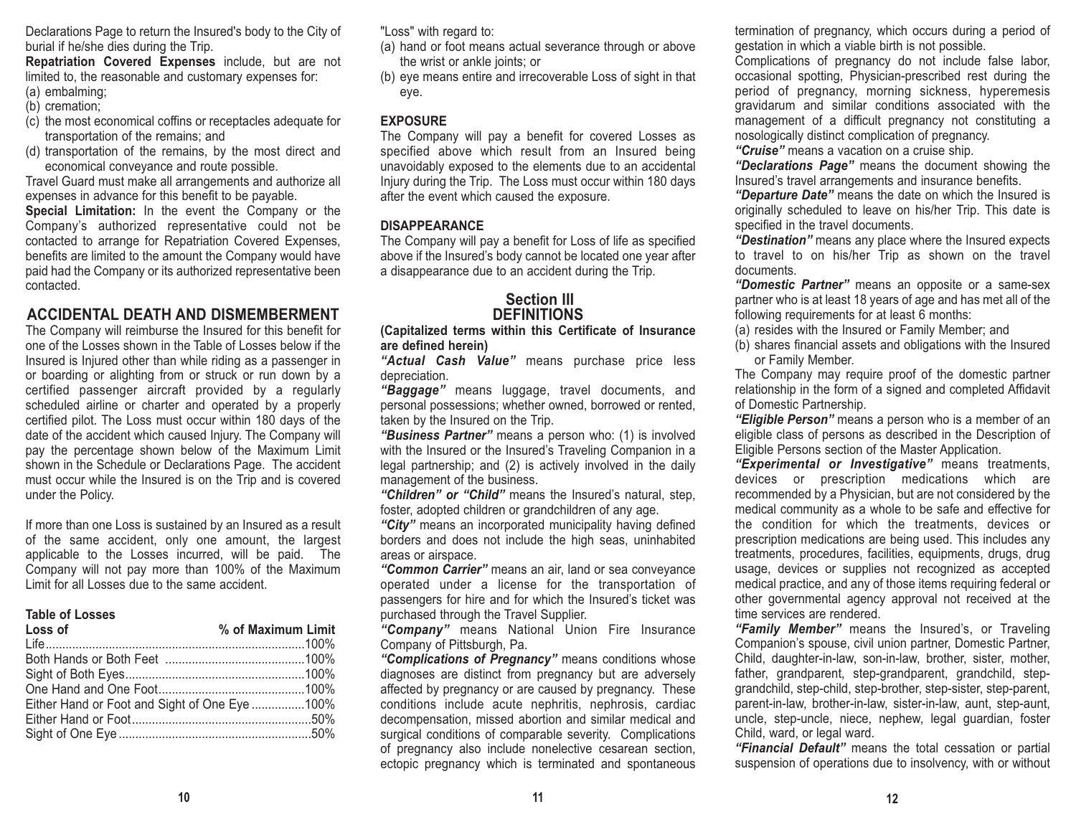Declarations Page to return the Insured's body to the City of burial if he/she dies during the Trip.

**Repatriation Covered Expenses** include, but are not limited to, the reasonable and customary expenses for:

- (a) embalming;
- (b) cremation;
- (c) the most economical coffins or receptacles adequate for transportation of the remains; and
- (d) transportation of the remains, by the most direct and economical conveyance and route possible.

Travel Guard must make all arrangements and authorize all expenses in advance for this benefit to be payable.

**Special Limitation:** In the event the Company or the Company's authorized representative could not be contacted to arrange for Repatriation Covered Expenses, benefits are limited to the amount the Company would have paid had the Company or its authorized representative been contacted.

# **ACCIDENTAL DEATH AND DISMEMBERMENT**

The Company will reimburse the Insured for this benefit for one of the Losses shown in the Table of Losses below if theInsured is Injured other than while riding as a passenger in or boarding or alighting from or struck or run down by a certified passenger aircraft provided by a regularly scheduled airline or charter and operated by a properly certified pilot. The Loss must occur within 180 days of the date of the accident which caused Injury. The Company will pay the percentage shown below of the Maximum Limit shown in the Schedule or Declarations Page. The accident must occur while the Insured is on the Trip and is covered under the Policy.

If more than one Loss is sustained by an Insured as a result of the same accident, only one amount, the largest applicable to the Losses incurred, will be paid. The Company will not pay more than 100% of the Maximum Limit for all Losses due to the same accident.

#### **Table of Losses**

| Loss of                                       | % of Maximum Limit |
|-----------------------------------------------|--------------------|
|                                               |                    |
|                                               |                    |
|                                               |                    |
|                                               |                    |
| Either Hand or Foot and Sight of One Eye 100% |                    |
|                                               |                    |
|                                               |                    |
|                                               |                    |

"Loss" with regard to:

- (a) hand or foot means actual severance through or above the wrist or ankle joints; or
- (b) eye means entire and irrecoverable Loss of sight in that eye.

#### **EXPOSURE**

The Company will pay a benefit for covered Losses as specified above which result from an Insured being unavoidably exposed to the elements due to an accidental Injury during the Trip. The Loss must occur within 180 days after the event which caused the exposure.

#### **DISAPPEARANCE**

The Company will pay a benefit for Loss of life as specified above if the Insured's body cannot be located one year after a disappearance due to an accident during the Trip.

## **Section IIIDEFINITIONS**

**(Capitalized terms within this Certificate of Insurance are defined herein)**

*"Actual Cash Value"* means purchase price less depreciation.

*"Baggage"* means luggage, travel documents, and personal possessions; whether owned, borrowed or rented, taken by the Insured on the Trip.

*"Business Partner"* means a person who: (1) is involved with the Insured or the Insured's Traveling Companion in a legal partnership; and (2) is actively involved in the daily management of the business.

*"Children" or "Child"* means the Insured's natural, step, foster, adopted children or grandchildren of any age.

*"City"* means an incorporated municipality having defined borders and does not include the high seas, uninhabited areas or airspace.

*"Common Carrier"* means an air, land or sea conveyance operated under a license for the transportation of passengers for hire and for which the Insured's ticket was purchased through the Travel Supplier.

*"Company"* means National Union Fire Insurance Company of Pittsburgh, Pa.

*"Complications of Pregnancy"* means conditions whose diagnoses are distinct from pregnancy but are adversely affected by pregnancy or are caused by pregnancy. These conditions include acute nephritis, nephrosis, cardiac decompensation, missed abortion and similar medical and surgical conditions of comparable severity. Complications of pregnancy also include nonelective cesarean section, ectopic pregnancy which is terminated and spontaneous

termination of pregnancy, which occurs during a period of gestation in which a viable birth is not possible.

Complications of pregnancy do not include false labor, occasional spotting, Physician-prescribed rest during the period of pregnancy, morning sickness, hyperemesis gravidarum and similar conditions associated with the management of a difficult pregnancy not constituting a nosologically distinct complication of pregnancy.

*"Cruise"* means a vacation on a cruise ship.

*"Declarations Page"* means the document showing the Insured's travel arrangements and insurance benefits.

*"Departure Date"* means the date on which the Insured is originally scheduled to leave on his/her Trip. This date is specified in the travel documents.

*"Destination"* means any place where the Insured expects to travel to on his/her Trip as shown on the travel documents.

 *"Domestic Partner"* means an opposite or a same-sex partner who is at least 18 years of age and has met all of the following requirements for at least 6 months:

(a) resides with the Insured or Family Member; and

(b) shares financial assets and obligations with the Insured or Family Member.

The Company may require proof of the domestic partner relationship in the form of a signed and completed Affidavit of Domestic Partnership.

*"Eligible Person"* means a person who is a member of an eligible class of persons as described in the Description of Eligible Persons section of the Master Application.

*"Experimental or Investigative"* means treatments, devices or prescription medications which are recommended by a Physician, but are not considered by the medical community as a whole to be safe and effective for the condition for which the treatments, devices or prescription medications are being used. This includes any treatments, procedures, facilities, equipments, drugs, drug usage, devices or supplies not recognized as accepted medical practice, and any of those items requiring federal or other governmental agency approval not received at the time services are rendered.

*"Family Member"* means the Insured's, or Traveling Companion's spouse, civil union partner, Domestic Partner, Child, daughter-in-law, son-in-law, brother, sister, mother, father, grandparent, step-grandparent, grandchild, stepgrandchild, step-child, step-brother, step-sister, step-parent, parent-in-law, brother-in-law, sister-in-law, aunt, step-aunt, uncle, step-uncle, niece, nephew, legal guardian, foster Child, ward, or legal ward.

*"Financial Default"* means the total cessation or partial suspension of operations due to insolvency, with or without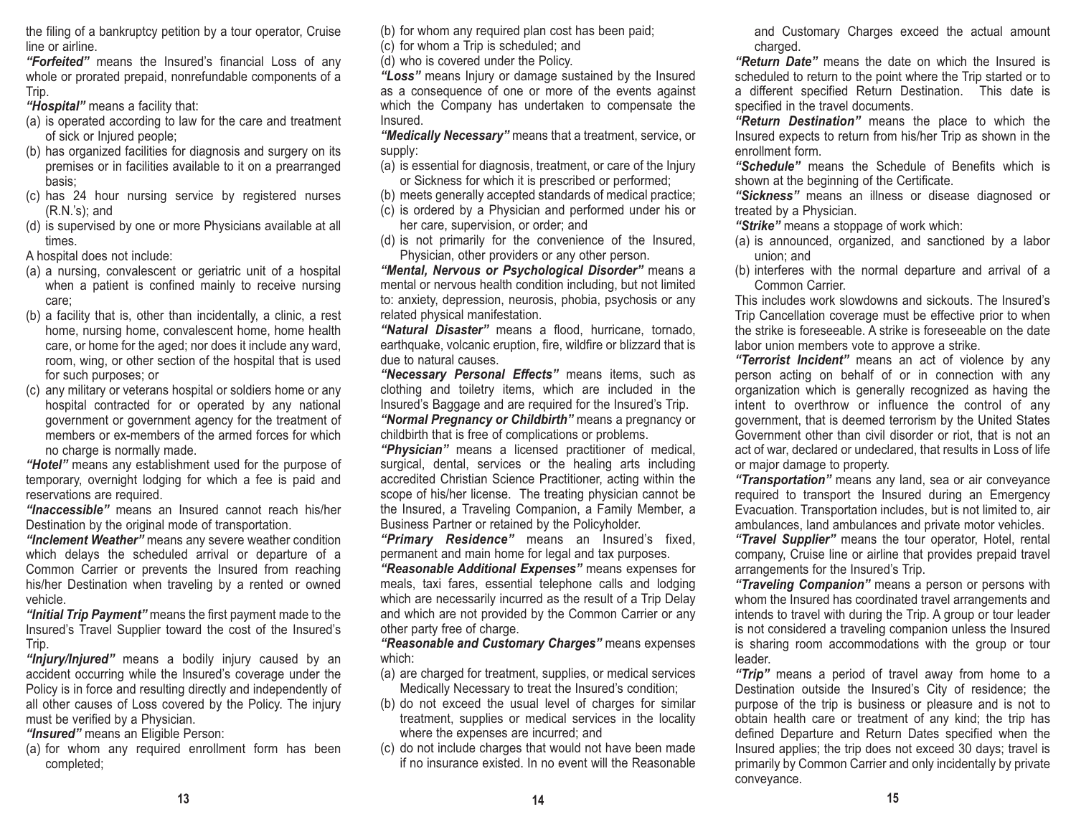the filing of a bankruptcy petition by a tour operator, Cruise line or airline.

*"Forfeited"* means the Insured's financial Loss of any whole or prorated prepaid, nonrefundable components of a Trip.

*"Hospital"* means a facility that:

- (a) is operated according to law for the care and treatment of sick or Injured people;
- (b) has organized facilities for diagnosis and surgery on its premises or in facilities available to it on a prearranged basis;
- (c) has 24 hour nursing service by registered nurses (R.N.'s); and
- (d) is supervised by one or more Physicians available at all times.

A hospital does not include:

- (a) a nursing, convalescent or geriatric unit of a hospital when a patient is confined mainly to receive nursing care;
- (b) a facility that is, other than incidentally, a clinic, a rest home, nursing home, convalescent home, home health care, or home for the aged; nor does it include any ward, room, wing, or other section of the hospital that is used for such purposes; or
- (c) any military or veterans hospital or soldiers home or any hospital contracted for or operated by any national government or government agency for the treatment of members or ex-members of the armed forces for which no charge is normally made.

*"Hotel"* means any establishment used for the purpose of temporary, overnight lodging for which a fee is paid and reservations are required.

*"Inaccessible"* means an Insured cannot reach his/her Destination by the original mode of transportation.

*"Inclement Weather"* means any severe weather condition which delays the scheduled arrival or departure of a Common Carrier or prevents the Insured from reaching his/her Destination when traveling by a rented or owned vehicle.

*"Initial Trip Payment"* means the first payment made to the Insured's Travel Supplier toward the cost of the Insured's Trip.

*"Injury/Injured"* means a bodily injury caused by an accident occurring while the Insured's coverage under the Policy is in force and resulting directly and independently of all other causes of Loss covered by the Policy. The injury must be verified by a Physician.

*"Insured"* means an Eligible Person:

(a) for whom any required enrollment form has been completed;

(b) for whom any required plan cost has been paid;

(c) for whom a Trip is scheduled; and

(d) who is covered under the Policy.

*"Loss"* means Injury or damage sustained by the Insured as a consequence of one or more of the events against which the Company has undertaken to compensate the Insured.

*"Medically Necessary"* means that a treatment, service, or supply:

(a) is essential for diagnosis, treatment, or care of the Injury or Sickness for which it is prescribed or performed;

- (b) meets generally accepted standards of medical practice;
- (c) is ordered by a Physician and performed under his or her care, supervision, or order; and
- (d) is not primarily for the convenience of the Insured, Physician, other providers or any other person.

*"Mental, Nervous or Psychological Disorder"* means a mental or nervous health condition including, but not limited to: anxiety, depression, neurosis, phobia, psychosis or any related physical manifestation.

*"Natural Disaster"* means a flood, hurricane, tornado, earthquake, volcanic eruption, fire, wildfire or blizzard that is due to natural causes.

*"Necessary Personal Effects"* means items, such as clothing and toiletry items, which are included in the Insured's Baggage and are required for the Insured's Trip. *"Normal Pregnancy or Childbirth"* means a pregnancy or childbirth that is free of complications or problems.

*"Physician"* means a licensed practitioner of medical, surgical, dental, services or the healing arts including accredited Christian Science Practitioner, acting within the scope of his/her license. The treating physician cannot be the Insured, a Traveling Companion, a Family Member, a Business Partner or retained by the Policyholder.

*"Primary Residence"* means an Insured's fixed, permanent and main home for legal and tax purposes.

*"Reasonable Additional Expenses"* means expenses for meals, taxi fares, essential telephone calls and lodging which are necessarily incurred as the result of a Trip Delay and which are not provided by the Common Carrier or any other party free of charge.

*"Reasonable and Customary Charges"* means expenses which:

- (a) are charged for treatment, supplies, or medical services Medically Necessary to treat the Insured's condition;
- (b) do not exceed the usual level of charges for similar treatment, supplies or medical services in the locality where the expenses are incurred; and
- (c) do not include charges that would not have been made if no insurance existed. In no event will the Reasonable

and Customary Charges exceed the actual amount charged.

*"Return Date"* means the date on which the Insured is scheduled to return to the point where the Trip started or to a different specified Return Destination. This date is specified in the travel documents.

*"Return Destination"* means the place to which the Insured expects to return from his/her Trip as shown in the enrollment form.

*"Schedule"* means the Schedule of Benefits which is shown at the beginning of the Certificate.

*"Sickness"* means an illness or disease diagnosed or treated by a Physician.

*"Strike"* means a stoppage of work which:

- (a) is announced, organized, and sanctioned by a labor union; and
- (b) interferes with the normal departure and arrival of a Common Carrier.

This includes work slowdowns and sickouts. The Insured'sTrip Cancellation coverage must be effective prior to when the strike is foreseeable. A strike is foreseeable on the datelabor union members vote to approve a strike.

*"Terrorist Incident"* means an act of violence by any person acting on behalf of or in connection with any organization which is generally recognized as having the intent to overthrow or influence the control of any government, that is deemed terrorism by the United States Government other than civil disorder or riot, that is not an act of war, declared or undeclared, that results in Loss of life or major damage to property.

*"Transportation"* means any land, sea or air conveyance required to transport the Insured during an Emergency Evacuation. Transportation includes, but is not limited to, air ambulances, land ambulances and private motor vehicles.

*"Travel Supplier"* means the tour operator, Hotel, rental company, Cruise line or airline that provides prepaid travel arrangements for the Insured's Trip.

*"Traveling Companion"* means a person or persons with whom the Insured has coordinated travel arrangements and intends to travel with during the Trip. A group or tour leader is not considered a traveling companion unless the Insured is sharing room accommodations with the group or tour leader.

*"Trip"* means a period of travel away from home to a Destination outside the Insured's City of residence; the purpose of the trip is business or pleasure and is not to obtain health care or treatment of any kind; the trip has defined Departure and Return Dates specified when the Insured applies; the trip does not exceed 30 days; travel is primarily by Common Carrier and only incidentally by private conveyance.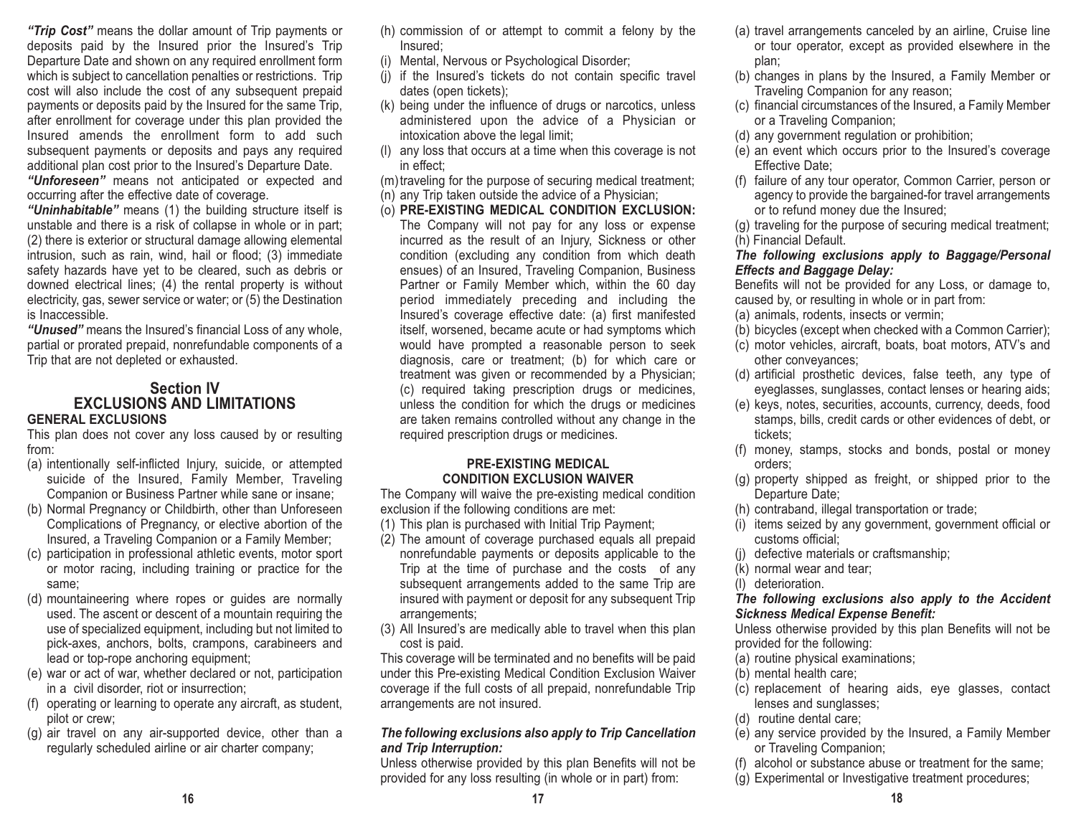*"Trip Cost"* means the dollar amount of Trip payments or deposits paid by the Insured prior the Insured's Trip Departure Date and shown on any required enrollment form which is subject to cancellation penalties or restrictions. Trip cost will also include the cost of any subsequent prepaid payments or deposits paid by the Insured for the same Trip, after enrollment for coverage under this plan provided the Insured amends the enrollment form to add suchsubsequent payments or deposits and pays any required additional plan cost prior to the Insured's Departure Date.

*"Unforeseen"* means not anticipated or expected and occurring after the effective date of coverage.

*"Uninhabitable"* means (1) the building structure itself is unstable and there is a risk of collapse in whole or in part; (2) there is exterior or structural damage allowing elemental intrusion, such as rain, wind, hail or flood; (3) immediate safety hazards have yet to be cleared, such as debris or downed electrical lines; (4) the rental property is without electricity, gas, sewer service or water; or (5) the Destination is Inaccessible.

*"Unused"* means the Insured's financial Loss of any whole, partial or prorated prepaid, nonrefundable components of a Trip that are not depleted or exhausted.

#### **Section IV EXCLUSIONS AND LIMITATIONSGENERAL EXCLUSIONS**

This plan does not cover any loss caused by or resulting from:

- (a) intentionally self-inflicted Injury, suicide, or attempted suicide of the Insured, Family Member, Traveling Companion or Business Partner while sane or insane;
- (b) Normal Pregnancy or Childbirth, other than Unforeseen Complications of Pregnancy, or elective abortion of the Insured, a Traveling Companion or a Family Member;
- (c) participation in professional athletic events, motor sport or motor racing, including training or practice for the same;
- (d) mountaineering where ropes or guides are normally used. The ascent or descent of a mountain requiring the use of specialized equipment, including but not limited to pick-axes, anchors, bolts, crampons, carabineers and lead or top-rope anchoring equipment;
- (e) war or act of war, whether declared or not, participation in a civil disorder, riot or insurrection;
- (f) operating or learning to operate any aircraft, as student, pilot or crew;
- (g) air travel on any air-supported device, other than a regularly scheduled airline or air charter company;
- (h) commission of or attempt to commit a felony by the Insured;
- (i) Mental, Nervous or Psychological Disorder;
- (j) if the Insured's tickets do not contain specific travel dates (open tickets);
- (k) being under the influence of drugs or narcotics, unless administered upon the advice of a Physician or intoxication above the legal limit;
- (l) any loss that occurs at a time when this coverage is not in effect;
- (m)traveling for the purpose of securing medical treatment;
- (n) any Trip taken outside the advice of a Physician;
- (o) **PRE-EXISTING MEDICAL CONDITION EXCLUSION:** The Company will not pay for any loss or expense incurred as the result of an Injury, Sickness or other condition (excluding any condition from which death ensues) of an Insured, Traveling Companion, Business Partner or Family Member which, within the 60 day period immediately preceding and including the Insured's coverage effective date: (a) first manifested itself, worsened, became acute or had symptoms which would have prompted a reasonable person to seek diagnosis, care or treatment; (b) for which care or treatment was given or recommended by a Physician; (c) required taking prescription drugs or medicines, unless the condition for which the drugs or medicines are taken remains controlled without any change in the required prescription drugs or medicines.

#### **PRE-EXISTING MEDICAL CONDITION EXCLUSION WAIVER**

The Company will waive the pre-existing medical condition exclusion if the following conditions are met:

- (1) This plan is purchased with Initial Trip Payment;
- (2) The amount of coverage purchased equals all prepaid nonrefundable payments or deposits applicable to the Trip at the time of purchase and the costs of any subsequent arrangements added to the same Trip are insured with payment or deposit for any subsequent Trip arrangements;
- (3) All Insured's are medically able to travel when this plan cost is paid.

This coverage will be terminated and no benefits will be paid under this Pre-existing Medical Condition Exclusion Waiver coverage if the full costs of all prepaid, nonrefundable Trip arrangements are not insured.

#### *The following exclusions also apply to Trip Cancellation and Trip Interruption:*

Unless otherwise provided by this plan Benefits will not be provided for any loss resulting (in whole or in part) from:

- (a) travel arrangements canceled by an airline, Cruise line or tour operator, except as provided elsewhere in the plan;
- (b) changes in plans by the Insured, a Family Member or Traveling Companion for any reason;
- (c) financial circumstances of the Insured, a Family Member or a Traveling Companion;
- (d) any government regulation or prohibition;
- (e) an event which occurs prior to the Insured's coverage Effective Date;
- (f) failure of any tour operator, Common Carrier, person or agency to provide the bargained-for travel arrangements or to refund money due the Insured;
- (g) traveling for the purpose of securing medical treatment; (h) Financial Default.

### *The following exclusions apply to Baggage/Personal Effects and Baggage Delay:*

Benefits will not be provided for any Loss, or damage to, caused by, or resulting in whole or in part from:

- (a) animals, rodents, insects or vermin;
- (b) bicycles (except when checked with a Common Carrier);
- (c) motor vehicles, aircraft, boats, boat motors, ATV's and other conveyances;
- (d) artificial prosthetic devices, false teeth, any type of eyeglasses, sunglasses, contact lenses or hearing aids;
- (e) keys, notes, securities, accounts, currency, deeds, food stamps, bills, credit cards or other evidences of debt, or tickets;
- (f) money, stamps, stocks and bonds, postal or money orders;
- (g) property shipped as freight, or shipped prior to the Departure Date;
- (h) contraband, illegal transportation or trade;
- (i) items seized by any government, government official or customs official;
- (j) defective materials or craftsmanship;
- (k) normal wear and tear;
- (l) deterioration.

#### *The following exclusions also apply to the Accident Sickness Medical Expense Benefit:*

Unless otherwise provided by this plan Benefits will not be provided for the following:

- (a) routine physical examinations;
- (b) mental health care;
- (c) replacement of hearing aids, eye glasses, contact lenses and sunglasses;
- (d) routine dental care;
- (e) any service provided by the Insured, a Family Member or Traveling Companion;
- (f) alcohol or substance abuse or treatment for the same;
- (g) Experimental or Investigative treatment procedures;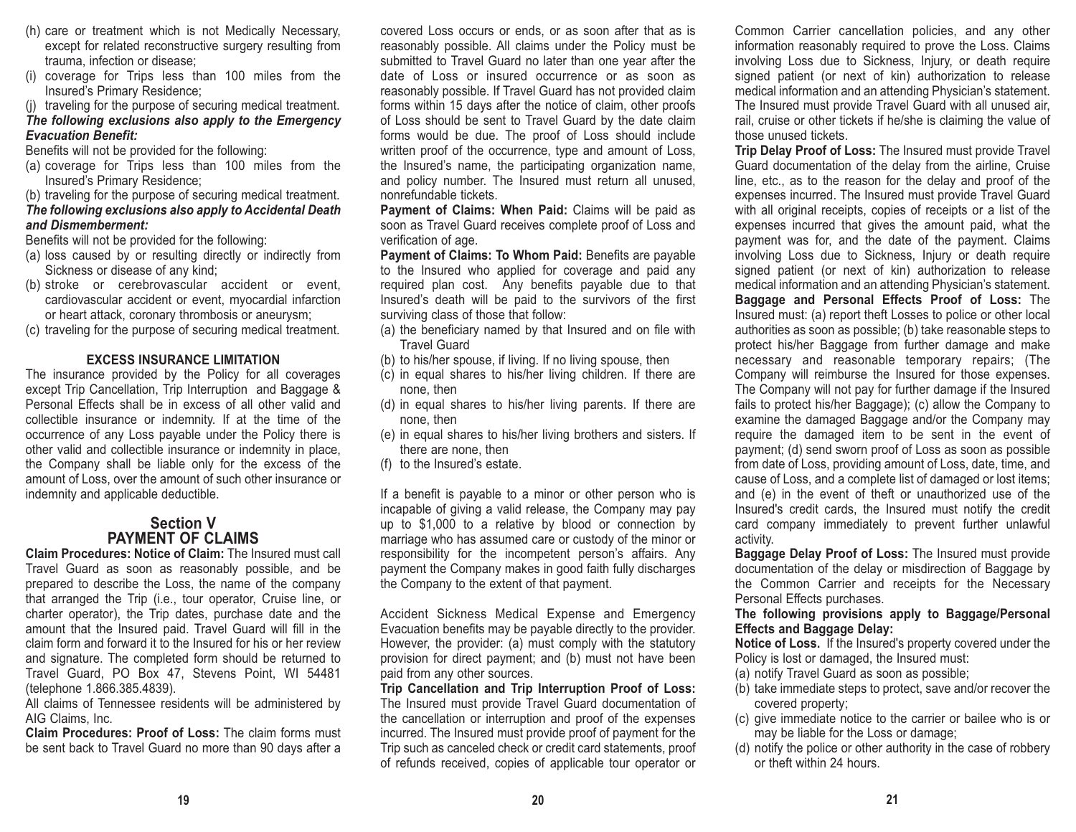- (h) care or treatment which is not Medically Necessary, except for related reconstructive surgery resulting from trauma, infection or disease;
- (i) coverage for Trips less than 100 miles from the Insured's Primary Residence;

(j) traveling for the purpose of securing medical treatment.

#### *The following exclusions also apply to the Emergency Evacuation Benefit:*

Benefits will not be provided for the following:

- (a) coverage for Trips less than 100 miles from the Insured's Primary Residence;
- (b) traveling for the purpose of securing medical treatment.

#### *The following exclusions also apply to Accidental Death and Dismemberment:*

Benefits will not be provided for the following:

- (a) loss caused by or resulting directly or indirectly from Sickness or disease of any kind;
- (b) stroke or cerebrovascular accident or event, cardiovascular accident or event, myocardial infarction or heart attack, coronary thrombosis or aneurysm;
- (c) traveling for the purpose of securing medical treatment.

#### **EXCESS INSURANCE LIMITATION**

The insurance provided by the Policy for all coverages except Trip Cancellation, Trip Interruption and Baggage & Personal Effects shall be in excess of all other valid andcollectible insurance or indemnity. If at the time of the occurrence of any Loss payable under the Policy there is other valid and collectible insurance or indemnity in place, the Company shall be liable only for the excess of the amount of Loss, over the amount of such other insurance or indemnity and applicable deductible.

## **Section VPAYMENT OF CLAIMS**

**Claim Procedures: Notice of Claim:** The Insured must call Travel Guard as soon as reasonably possible, and be prepared to describe the Loss, the name of the company that arranged the Trip (i.e., tour operator, Cruise line, or charter operator), the Trip dates, purchase date and the amount that the Insured paid. Travel Guard will fill in the claim form and forward it to the Insured for his or her reviewand signature. The completed form should be returned to Travel Guard, PO Box 47, Stevens Point, WI 54481 (telephone 1.866.385.4839).

All claims of Tennessee residents will be administered by AIG Claims, Inc.

**Claim Procedures: Proof of Loss:** The claim forms must be sent back to Travel Guard no more than 90 days after a covered Loss occurs or ends, or as soon after that as is reasonably possible. All claims under the Policy must be submitted to Travel Guard no later than one year after the date of Loss or insured occurrence or as soon as reasonably possible. If Travel Guard has not provided claim forms within 15 days after the notice of claim, other proofs of Loss should be sent to Travel Guard by the date claim forms would be due. The proof of Loss should include written proof of the occurrence, type and amount of Loss, the Insured's name, the participating organization name, and policy number. The Insured must return all unused, nonrefundable tickets.

**Payment of Claims: When Paid:** Claims will be paid as soon as Travel Guard receives complete proof of Loss and verification of age.

**Payment of Claims: To Whom Paid:** Benefits are payable to the Insured who applied for coverage and paid any required plan cost. Any benefits payable due to that Insured's death will be paid to the survivors of the first surviving class of those that follow:

- (a) the beneficiary named by that Insured and on file with Travel Guard
- (b) to his/her spouse, if living. If no living spouse, then
- (c) in equal shares to his/her living children. If there are none, then
- (d) in equal shares to his/her living parents. If there are none, then
- (e) in equal shares to his/her living brothers and sisters. If there are none, then
- (f) to the Insured's estate.

If a benefit is payable to a minor or other person who is incapable of giving a valid release, the Company may pay up to \$1,000 to a relative by blood or connection by marriage who has assumed care or custody of the minor or responsibility for the incompetent person's affairs. Any payment the Company makes in good faith fully discharges the Company to the extent of that payment.

Accident Sickness Medical Expense and Emergency Evacuation benefits may be payable directly to the provider. However, the provider: (a) must comply with the statutory provision for direct payment; and (b) must not have been paid from any other sources.

**Trip Cancellation and Trip Interruption Proof of Loss:** The Insured must provide Travel Guard documentation of the cancellation or interruption and proof of the expenses incurred. The Insured must provide proof of payment for the Trip such as canceled check or credit card statements, proof of refunds received, copies of applicable tour operator or Common Carrier cancellation policies, and any other information reasonably required to prove the Loss. Claims involving Loss due to Sickness, Injury, or death require signed patient (or next of kin) authorization to release medical information and an attending Physician's statement. The Insured must provide Travel Guard with all unused air, rail, cruise or other tickets if he/she is claiming the value of those unused tickets.

**Trip Delay Proof of Loss:** The Insured must provide Travel Guard documentation of the delay from the airline, Cruise line, etc., as to the reason for the delay and proof of the expenses incurred. The Insured must provide Travel Guard with all original receipts, copies of receipts or a list of the expenses incurred that gives the amount paid, what the payment was for, and the date of the payment. Claims involving Loss due to Sickness, Injury or death require signed patient (or next of kin) authorization to release medical information and an attending Physician's statement. **Baggage and Personal Effects Proof of Loss:** The Insured must: (a) report theft Losses to police or other local authorities as soon as possible; (b) take reasonable steps to protect his/her Baggage from further damage and make necessary and reasonable temporary repairs; (The Company will reimburse the Insured for those expenses. The Company will not pay for further damage if the Insured fails to protect his/her Baggage); (c) allow the Company to examine the damaged Baggage and/or the Company may require the damaged item to be sent in the event of payment; (d) send sworn proof of Loss as soon as possible from date of Loss, providing amount of Loss, date, time, and cause of Loss, and a complete list of damaged or lost items; and (e) in the event of theft or unauthorized use of the Insured's credit cards, the Insured must notify the credit card company immediately to prevent further unlawful activity.

**Baggage Delay Proof of Loss:** The Insured must provide documentation of the delay or misdirection of Baggage by the Common Carrier and receipts for the Necessary Personal Effects purchases.

#### **The following provisions apply to Baggage/Personal Effects and Baggage Delay:**

**Notice of Loss.** If the Insured's property covered under the Policy is lost or damaged, the Insured must:

- (a) notify Travel Guard as soon as possible;
- (b) take immediate steps to protect, save and/or recover the covered property;
- (c) give immediate notice to the carrier or bailee who is or may be liable for the Loss or damage;
- (d) notify the police or other authority in the case of robbery or theft within 24 hours.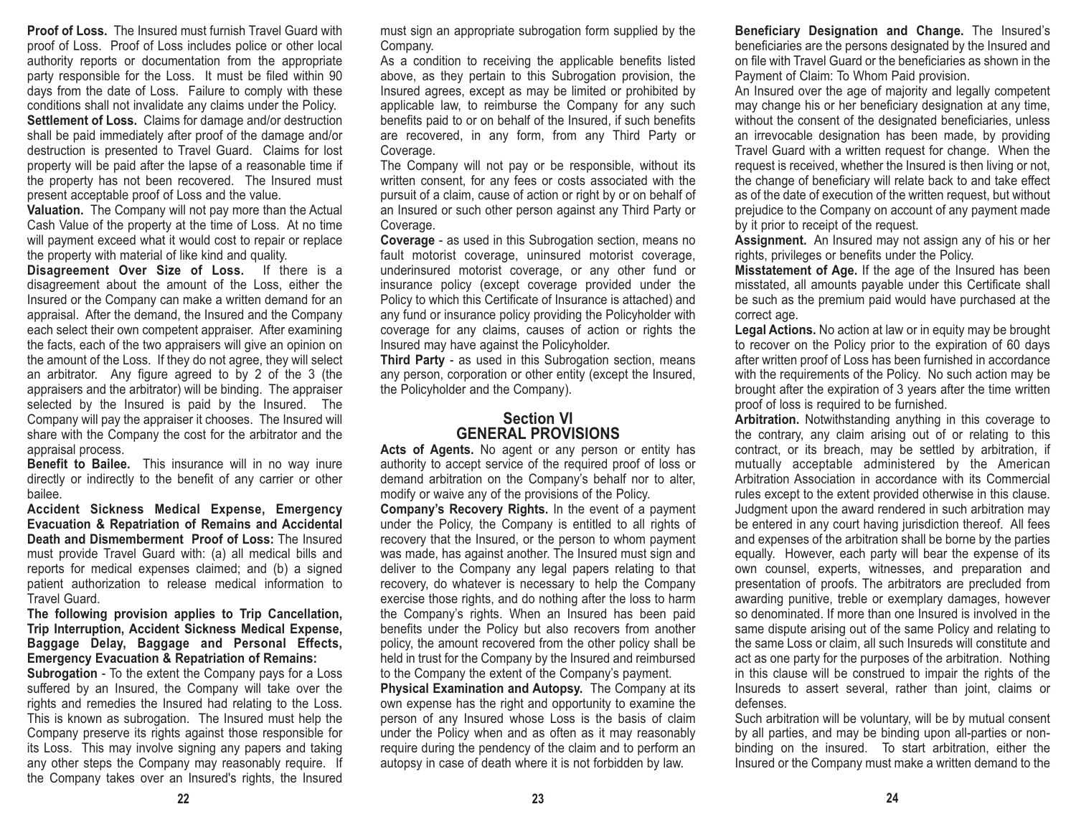**Proof of Loss.** The Insured must furnish Travel Guard with proof of Loss. Proof of Loss includes police or other local authority reports or documentation from the appropriate party responsible for the Loss. It must be filed within 90 days from the date of Loss. Failure to comply with these conditions shall not invalidate any claims under the Policy. **Settlement of Loss.** Claims for damage and/or destruction shall be paid immediately after proof of the damage and/or destruction is presented to Travel Guard. Claims for lost property will be paid after the lapse of a reasonable time if the property has not been recovered. The Insured must

present acceptable proof of Loss and the value. **Valuation.** The Company will not pay more than the Actual Cash Value of the property at the time of Loss. At no time

will payment exceed what it would cost to repair or replace the property with material of like kind and quality.

**Disagreement Over Size of Loss.** If there is a disagreement about the amount of the Loss, either the Insured or the Company can make a written demand for an appraisal. After the demand, the Insured and the Company each select their own competent appraiser. After examining the facts, each of the two appraisers will give an opinion on the amount of the Loss. If they do not agree, they will select an arbitrator. Any figure agreed to by 2 of the 3 (the appraisers and the arbitrator) will be binding. The appraiser selected by the Insured is paid by the Insured. The Company will pay the appraiser it chooses. The Insured will share with the Company the cost for the arbitrator and the appraisal process.

**Benefit to Bailee.** This insurance will in no way inure directly or indirectly to the benefit of any carrier or other bailee.

**Accident Sickness Medical Expense, Emergency Evacuation & Repatriation of Remains and Accidental Death and Dismemberment Proof of Loss:** The Insuredmust provide Travel Guard with: (a) all medical bills and reports for medical expenses claimed; and (b) a signed patient authorization to release medical information to Travel Guard.

#### **The following provision applies to Trip Cancellation, Trip Interruption, Accident Sickness Medical Expense, Baggage Delay, Baggage and Personal Effects, Emergency Evacuation & Repatriation of Remains:**

**Subrogation** - To the extent the Company pays for a Loss suffered by an Insured, the Company will take over the rights and remedies the Insured had relating to the Loss. This is known as subrogation. The Insured must help the Company preserve its rights against those responsible for its Loss. This may involve signing any papers and taking any other steps the Company may reasonably require. If the Company takes over an Insured's rights, the Insured must sign an appropriate subrogation form supplied by the Company.

As a condition to receiving the applicable benefits listed above, as they pertain to this Subrogation provision, the Insured agrees, except as may be limited or prohibited by applicable law, to reimburse the Company for any such benefits paid to or on behalf of the Insured, if such benefits are recovered, in any form, from any Third Party or Coverage.

The Company will not pay or be responsible, without its written consent, for any fees or costs associated with the pursuit of a claim, cause of action or right by or on behalf of an Insured or such other person against any Third Party or Coverage.

**Coverage** - as used in this Subrogation section, means no fault motorist coverage, uninsured motorist coverage, underinsured motorist coverage, or any other fund or insurance policy (except coverage provided under the Policy to which this Certificate of Insurance is attached) and any fund or insurance policy providing the Policyholder with coverage for any claims, causes of action or rights the Insured may have against the Policyholder.

**Third Party** - as used in this Subrogation section, means any person, corporation or other entity (except the Insured, the Policyholder and the Company).

## **Section VIGENERAL PROVISIONS**

**Acts of Agents.** No agent or any person or entity has authority to accept service of the required proof of loss or demand arbitration on the Company's behalf nor to alter, modify or waive any of the provisions of the Policy.

**Company's Recovery Rights.** In the event of a payment under the Policy, the Company is entitled to all rights of recovery that the Insured, or the person to whom payment was made, has against another. The Insured must sign and deliver to the Company any legal papers relating to that recovery, do whatever is necessary to help the Company exercise those rights, and do nothing after the loss to harm the Company's rights. When an Insured has been paid benefits under the Policy but also recovers from another policy, the amount recovered from the other policy shall be held in trust for the Company by the Insured and reimbursed to the Company the extent of the Company's payment.

**Physical Examination and Autopsy.** The Company at its own expense has the right and opportunity to examine the person of any Insured whose Loss is the basis of claim under the Policy when and as often as it may reasonably require during the pendency of the claim and to perform an autopsy in case of death where it is not forbidden by law.

**Beneficiary Designation and Change.** The Insured's beneficiaries are the persons designated by the Insured and on file with Travel Guard or the beneficiaries as shown in thePayment of Claim: To Whom Paid provision.

An Insured over the age of majority and legally competent may change his or her beneficiary designation at any time, without the consent of the designated beneficiaries, unless an irrevocable designation has been made, by providing Travel Guard with a written request for change. When the request is received, whether the Insured is then living or not, the change of beneficiary will relate back to and take effect as of the date of execution of the written request, but without prejudice to the Company on account of any payment made by it prior to receipt of the request.

**Assignment.** An Insured may not assign any of his or her rights, privileges or benefits under the Policy.

**Misstatement of Age.** If the age of the Insured has been misstated, all amounts payable under this Certificate shall be such as the premium paid would have purchased at the correct age.

**Legal Actions.** No action at law or in equity may be brought to recover on the Policy prior to the expiration of 60 days after written proof of Loss has been furnished in accordance with the requirements of the Policy. No such action may be brought after the expiration of 3 years after the time written proof of loss is required to be furnished.

**Arbitration.** Notwithstanding anything in this coverage to the contrary, any claim arising out of or relating to this contract, or its breach, may be settled by arbitration, if mutually acceptable administered by the American Arbitration Association in accordance with its Commercial rules except to the extent provided otherwise in this clause. Judgment upon the award rendered in such arbitration may be entered in any court having jurisdiction thereof. All fees and expenses of the arbitration shall be borne by the parties equally. However, each party will bear the expense of its own counsel, experts, witnesses, and preparation and presentation of proofs. The arbitrators are precluded from awarding punitive, treble or exemplary damages, however so denominated. If more than one Insured is involved in thesame dispute arising out of the same Policy and relating to the same Loss or claim, all such Insureds will constitute and act as one party for the purposes of the arbitration. Nothing in this clause will be construed to impair the rights of the Insureds to assert several, rather than joint, claims or defenses.

Such arbitration will be voluntary, will be by mutual consent by all parties, and may be binding upon all-parties or nonbinding on the insured. To start arbitration, either the Insured or the Company must make a written demand to the